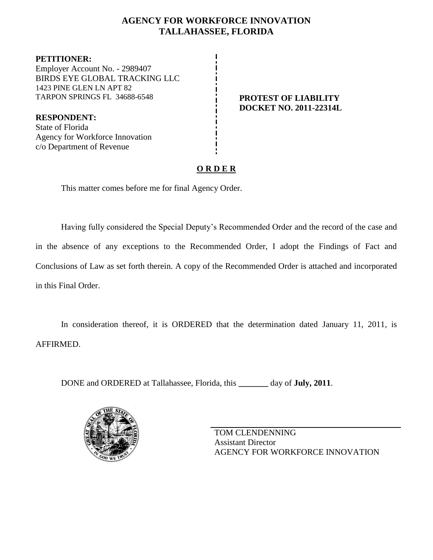## **AGENCY FOR WORKFORCE INNOVATION TALLAHASSEE, FLORIDA**

**PETITIONER:** Employer Account No. - 2989407 BIRDS EYE GLOBAL TRACKING LLC 1423 PINE GLEN LN APT 82 TARPON SPRINGS FL 34688-6548 **PROTEST OF LIABILITY**

c/o Department of Revenue

**RESPONDENT:** State of Florida Agency for Workforce Innovation

# **DOCKET NO. 2011-22314L**

# **O R D E R**

This matter comes before me for final Agency Order.

Having fully considered the Special Deputy's Recommended Order and the record of the case and in the absence of any exceptions to the Recommended Order, I adopt the Findings of Fact and Conclusions of Law as set forth therein. A copy of the Recommended Order is attached and incorporated in this Final Order.

In consideration thereof, it is ORDERED that the determination dated January 11, 2011, is AFFIRMED.

DONE and ORDERED at Tallahassee, Florida, this **\_\_\_\_\_\_\_** day of **July, 2011**.



TOM CLENDENNING Assistant Director AGENCY FOR WORKFORCE INNOVATION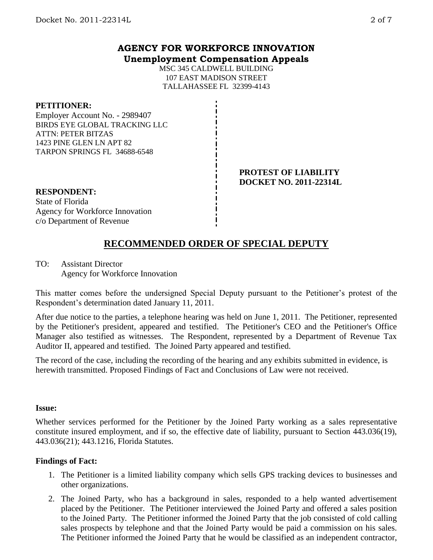### **AGENCY FOR WORKFORCE INNOVATION Unemployment Compensation Appeals**

MSC 345 CALDWELL BUILDING 107 EAST MADISON STREET TALLAHASSEE FL 32399-4143

#### **PETITIONER:**

Employer Account No. - 2989407 BIRDS EYE GLOBAL TRACKING LLC ATTN: PETER BITZAS 1423 PINE GLEN LN APT 82 TARPON SPRINGS FL 34688-6548

#### **PROTEST OF LIABILITY DOCKET NO. 2011-22314L**

**RESPONDENT:** State of Florida Agency for Workforce Innovation c/o Department of Revenue

# **RECOMMENDED ORDER OF SPECIAL DEPUTY**

TO: Assistant Director Agency for Workforce Innovation

This matter comes before the undersigned Special Deputy pursuant to the Petitioner's protest of the Respondent's determination dated January 11, 2011.

After due notice to the parties, a telephone hearing was held on June 1, 2011. The Petitioner, represented by the Petitioner's president, appeared and testified. The Petitioner's CEO and the Petitioner's Office Manager also testified as witnesses. The Respondent, represented by a Department of Revenue Tax Auditor II, appeared and testified. The Joined Party appeared and testified.

The record of the case, including the recording of the hearing and any exhibits submitted in evidence, is herewith transmitted. Proposed Findings of Fact and Conclusions of Law were not received.

#### **Issue:**

Whether services performed for the Petitioner by the Joined Party working as a sales representative constitute insured employment, and if so, the effective date of liability, pursuant to Section 443.036(19), 443.036(21); 443.1216, Florida Statutes.

#### **Findings of Fact:**

- 1. The Petitioner is a limited liability company which sells GPS tracking devices to businesses and other organizations.
- 2. The Joined Party, who has a background in sales, responded to a help wanted advertisement placed by the Petitioner. The Petitioner interviewed the Joined Party and offered a sales position to the Joined Party. The Petitioner informed the Joined Party that the job consisted of cold calling sales prospects by telephone and that the Joined Party would be paid a commission on his sales. The Petitioner informed the Joined Party that he would be classified as an independent contractor,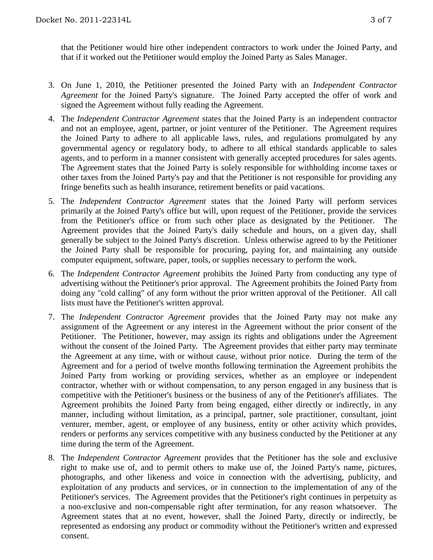that the Petitioner would hire other independent contractors to work under the Joined Party, and that if it worked out the Petitioner would employ the Joined Party as Sales Manager.

- 3. On June 1, 2010, the Petitioner presented the Joined Party with an *Independent Contractor Agreement* for the Joined Party's signature. The Joined Party accepted the offer of work and signed the Agreement without fully reading the Agreement.
- 4. The *Independent Contractor Agreement* states that the Joined Party is an independent contractor and not an employee, agent, partner, or joint venturer of the Petitioner. The Agreement requires the Joined Party to adhere to all applicable laws, rules, and regulations promulgated by any governmental agency or regulatory body, to adhere to all ethical standards applicable to sales agents, and to perform in a manner consistent with generally accepted procedures for sales agents. The Agreement states that the Joined Party is solely responsible for withholding income taxes or other taxes from the Joined Party's pay and that the Petitioner is not responsible for providing any fringe benefits such as health insurance, retirement benefits or paid vacations.
- 5. The *Independent Contractor Agreement* states that the Joined Party will perform services primarily at the Joined Party's office but will, upon request of the Petitioner, provide the services from the Petitioner's office or from such other place as designated by the Petitioner. The Agreement provides that the Joined Party's daily schedule and hours, on a given day, shall generally be subject to the Joined Party's discretion. Unless otherwise agreed to by the Petitioner the Joined Party shall be responsible for procuring, paying for, and maintaining any outside computer equipment, software, paper, tools, or supplies necessary to perform the work.
- 6. The *Independent Contractor Agreement* prohibits the Joined Party from conducting any type of advertising without the Petitioner's prior approval. The Agreement prohibits the Joined Party from doing any "cold calling" of any form without the prior written approval of the Petitioner. All call lists must have the Petitioner's written approval.
- 7. The *Independent Contractor Agreement* provides that the Joined Party may not make any assignment of the Agreement or any interest in the Agreement without the prior consent of the Petitioner. The Petitioner, however, may assign its rights and obligations under the Agreement without the consent of the Joined Party. The Agreement provides that either party may terminate the Agreement at any time, with or without cause, without prior notice. During the term of the Agreement and for a period of twelve months following termination the Agreement prohibits the Joined Party from working or providing services, whether as an employee or independent contractor, whether with or without compensation, to any person engaged in any business that is competitive with the Petitioner's business or the business of any of the Petitioner's affiliates. The Agreement prohibits the Joined Party from being engaged, either directly or indirectly, in any manner, including without limitation, as a principal, partner, sole practitioner, consultant, joint venturer, member, agent, or employee of any business, entity or other activity which provides, renders or performs any services competitive with any business conducted by the Petitioner at any time during the term of the Agreement.
- 8. The *Independent Contractor Agreement* provides that the Petitioner has the sole and exclusive right to make use of, and to permit others to make use of, the Joined Party's name, pictures, photographs, and other likeness and voice in connection with the advertising, publicity, and exploitation of any products and services, or in connection to the implementation of any of the Petitioner's services. The Agreement provides that the Petitioner's right continues in perpetuity as a non-exclusive and non-compensable right after termination, for any reason whatsoever. The Agreement states that at no event, however, shall the Joined Party, directly or indirectly, be represented as endorsing any product or commodity without the Petitioner's written and expressed consent.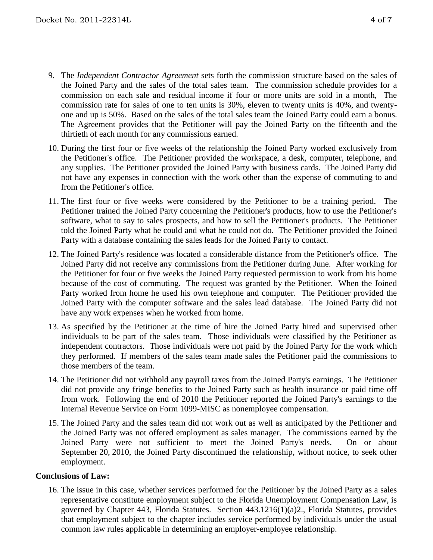- 9. The *Independent Contractor Agreement* sets forth the commission structure based on the sales of the Joined Party and the sales of the total sales team. The commission schedule provides for a commission on each sale and residual income if four or more units are sold in a month, The commission rate for sales of one to ten units is 30%, eleven to twenty units is 40%, and twentyone and up is 50%. Based on the sales of the total sales team the Joined Party could earn a bonus. The Agreement provides that the Petitioner will pay the Joined Party on the fifteenth and the thirtieth of each month for any commissions earned.
- 10. During the first four or five weeks of the relationship the Joined Party worked exclusively from the Petitioner's office. The Petitioner provided the workspace, a desk, computer, telephone, and any supplies. The Petitioner provided the Joined Party with business cards. The Joined Party did not have any expenses in connection with the work other than the expense of commuting to and from the Petitioner's office.
- 11. The first four or five weeks were considered by the Petitioner to be a training period. The Petitioner trained the Joined Party concerning the Petitioner's products, how to use the Petitioner's software, what to say to sales prospects, and how to sell the Petitioner's products. The Petitioner told the Joined Party what he could and what he could not do. The Petitioner provided the Joined Party with a database containing the sales leads for the Joined Party to contact.
- 12. The Joined Party's residence was located a considerable distance from the Petitioner's office. The Joined Party did not receive any commissions from the Petitioner during June. After working for the Petitioner for four or five weeks the Joined Party requested permission to work from his home because of the cost of commuting. The request was granted by the Petitioner. When the Joined Party worked from home he used his own telephone and computer. The Petitioner provided the Joined Party with the computer software and the sales lead database. The Joined Party did not have any work expenses when he worked from home.
- 13. As specified by the Petitioner at the time of hire the Joined Party hired and supervised other individuals to be part of the sales team. Those individuals were classified by the Petitioner as independent contractors. Those individuals were not paid by the Joined Party for the work which they performed. If members of the sales team made sales the Petitioner paid the commissions to those members of the team.
- 14. The Petitioner did not withhold any payroll taxes from the Joined Party's earnings. The Petitioner did not provide any fringe benefits to the Joined Party such as health insurance or paid time off from work. Following the end of 2010 the Petitioner reported the Joined Party's earnings to the Internal Revenue Service on Form 1099-MISC as nonemployee compensation.
- 15. The Joined Party and the sales team did not work out as well as anticipated by the Petitioner and the Joined Party was not offered employment as sales manager. The commissions earned by the Joined Party were not sufficient to meet the Joined Party's needs. On or about September 20, 2010, the Joined Party discontinued the relationship, without notice, to seek other employment.

#### **Conclusions of Law:**

16. The issue in this case, whether services performed for the Petitioner by the Joined Party as a sales representative constitute employment subject to the Florida Unemployment Compensation Law, is governed by Chapter 443, Florida Statutes. Section 443.1216(1)(a)2., Florida Statutes, provides that employment subject to the chapter includes service performed by individuals under the usual common law rules applicable in determining an employer-employee relationship.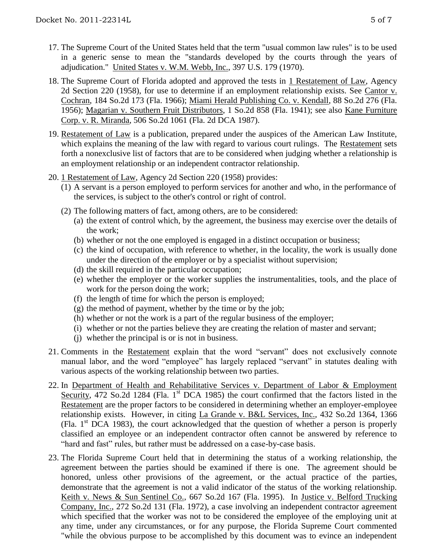- 17. The Supreme Court of the United States held that the term "usual common law rules" is to be used in a generic sense to mean the "standards developed by the courts through the years of adjudication." United States v. W.M. Webb, Inc., 397 U.S. 179 (1970).
- 18. The Supreme Court of Florida adopted and approved the tests in 1 Restatement of Law, Agency 2d Section 220 (1958), for use to determine if an employment relationship exists. See Cantor v. Cochran, 184 So.2d 173 (Fla. 1966); Miami Herald Publishing Co. v. Kendall, 88 So.2d 276 (Fla. 1956); Magarian v. Southern Fruit Distributors, 1 So.2d 858 (Fla. 1941); see also Kane Furniture Corp. v. R. Miranda, 506 So.2d 1061 (Fla. 2d DCA 1987).
- 19. Restatement of Law is a publication, prepared under the auspices of the American Law Institute, which explains the meaning of the law with regard to various court rulings. The Restatement sets forth a nonexclusive list of factors that are to be considered when judging whether a relationship is an employment relationship or an independent contractor relationship.
- 20. 1 Restatement of Law, Agency 2d Section 220 (1958) provides:
	- (1) A servant is a person employed to perform services for another and who, in the performance of the services, is subject to the other's control or right of control.
	- (2) The following matters of fact, among others, are to be considered:
		- (a) the extent of control which, by the agreement, the business may exercise over the details of the work;
		- (b) whether or not the one employed is engaged in a distinct occupation or business;
		- (c) the kind of occupation, with reference to whether, in the locality, the work is usually done under the direction of the employer or by a specialist without supervision;
		- (d) the skill required in the particular occupation;
		- (e) whether the employer or the worker supplies the instrumentalities, tools, and the place of work for the person doing the work;
		- (f) the length of time for which the person is employed;
		- $(g)$  the method of payment, whether by the time or by the job;
		- (h) whether or not the work is a part of the regular business of the employer;
		- (i) whether or not the parties believe they are creating the relation of master and servant;
		- (j) whether the principal is or is not in business.
- 21. Comments in the Restatement explain that the word "servant" does not exclusively connote manual labor, and the word "employee" has largely replaced "servant" in statutes dealing with various aspects of the working relationship between two parties.
- 22. In Department of Health and Rehabilitative Services v. Department of Labor & Employment Security, 472 So.2d 1284 (Fla. 1<sup>st</sup> DCA 1985) the court confirmed that the factors listed in the Restatement are the proper factors to be considered in determining whether an employer-employee relationship exists. However, in citing La Grande v. B&L Services, Inc., 432 So.2d 1364, 1366 (Fla.  $1<sup>st</sup> DCA$  1983), the court acknowledged that the question of whether a person is properly classified an employee or an independent contractor often cannot be answered by reference to "hard and fast" rules, but rather must be addressed on a case-by-case basis.
- 23. The Florida Supreme Court held that in determining the status of a working relationship, the agreement between the parties should be examined if there is one. The agreement should be honored, unless other provisions of the agreement, or the actual practice of the parties, demonstrate that the agreement is not a valid indicator of the status of the working relationship. Keith v. News & Sun Sentinel Co., 667 So.2d 167 (Fla. 1995). In Justice v. Belford Trucking Company, Inc., 272 So.2d 131 (Fla. 1972), a case involving an independent contractor agreement which specified that the worker was not to be considered the employee of the employing unit at any time, under any circumstances, or for any purpose, the Florida Supreme Court commented "while the obvious purpose to be accomplished by this document was to evince an independent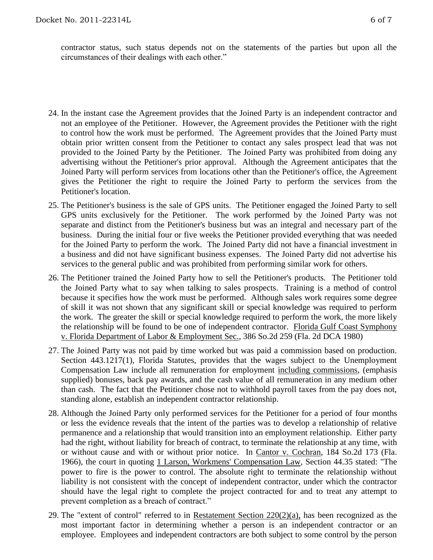contractor status, such status depends not on the statements of the parties but upon all the circumstances of their dealings with each other."

- 24. In the instant case the Agreement provides that the Joined Party is an independent contractor and not an employee of the Petitioner. However, the Agreement provides the Petitioner with the right to control how the work must be performed. The Agreement provides that the Joined Party must obtain prior written consent from the Petitioner to contact any sales prospect lead that was not provided to the Joined Party by the Petitioner. The Joined Party was prohibited from doing any advertising without the Petitioner's prior approval. Although the Agreement anticipates that the Joined Party will perform services from locations other than the Petitioner's office, the Agreement gives the Petitioner the right to require the Joined Party to perform the services from the Petitioner's location.
- 25. The Petitioner's business is the sale of GPS units. The Petitioner engaged the Joined Party to sell GPS units exclusively for the Petitioner. The work performed by the Joined Party was not separate and distinct from the Petitioner's business but was an integral and necessary part of the business. During the initial four or five weeks the Petitioner provided everything that was needed for the Joined Party to perform the work. The Joined Party did not have a financial investment in a business and did not have significant business expenses. The Joined Party did not advertise his services to the general public and was prohibited from performing similar work for others.
- 26. The Petitioner trained the Joined Party how to sell the Petitioner's products. The Petitioner told the Joined Party what to say when talking to sales prospects. Training is a method of control because it specifies how the work must be performed. Although sales work requires some degree of skill it was not shown that any significant skill or special knowledge was required to perform the work. The greater the skill or special knowledge required to perform the work, the more likely the relationship will be found to be one of independent contractor. Florida Gulf Coast Symphony v. Florida Department of Labor & Employment Sec., 386 So.2d 259 (Fla. 2d DCA 1980)
- 27. The Joined Party was not paid by time worked but was paid a commission based on production. Section 443.1217(1), Florida Statutes, provides that the wages subject to the Unemployment Compensation Law include all remuneration for employment including commissions, (emphasis supplied) bonuses, back pay awards, and the cash value of all remuneration in any medium other than cash. The fact that the Petitioner chose not to withhold payroll taxes from the pay does not, standing alone, establish an independent contractor relationship.
- 28. Although the Joined Party only performed services for the Petitioner for a period of four months or less the evidence reveals that the intent of the parties was to develop a relationship of relative permanence and a relationship that would transition into an employment relationship. Either party had the right, without liability for breach of contract, to terminate the relationship at any time, with or without cause and with or without prior notice. In Cantor v. Cochran, 184 So.2d 173 (Fla. 1966), the court in quoting 1 Larson, Workmens' Compensation Law, Section 44.35 stated: "The power to fire is the power to control. The absolute right to terminate the relationship without liability is not consistent with the concept of independent contractor, under which the contractor should have the legal right to complete the project contracted for and to treat any attempt to prevent completion as a breach of contract."
- 29. The "extent of control" referred to in Restatement Section  $220(2)(a)$ , has been recognized as the most important factor in determining whether a person is an independent contractor or an employee. Employees and independent contractors are both subject to some control by the person